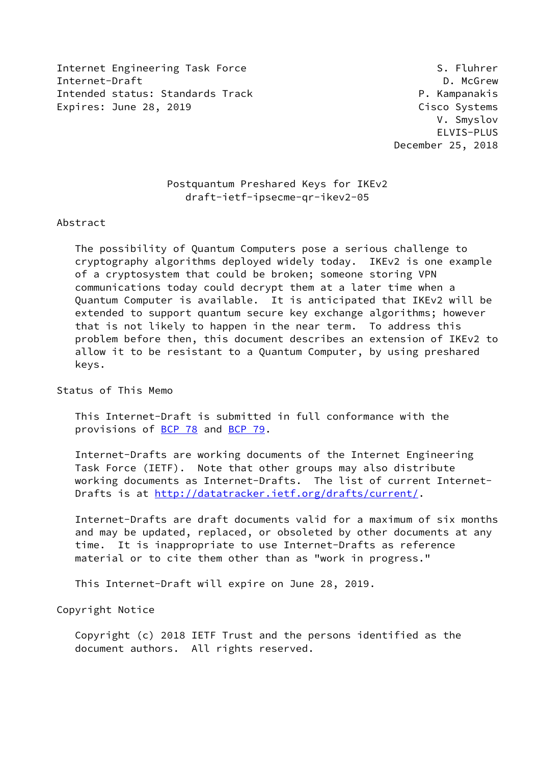Internet Engineering Task Force S. Fluhrer Internet-Draft **D. McGrew** Intended status: Standards Track P. Kampanakis Expires: June 28, 2019 **Cisco Systems** 

 V. Smyslov ELVIS-PLUS December 25, 2018

# Postquantum Preshared Keys for IKEv2 draft-ietf-ipsecme-qr-ikev2-05

#### Abstract

 The possibility of Quantum Computers pose a serious challenge to cryptography algorithms deployed widely today. IKEv2 is one example of a cryptosystem that could be broken; someone storing VPN communications today could decrypt them at a later time when a Quantum Computer is available. It is anticipated that IKEv2 will be extended to support quantum secure key exchange algorithms; however that is not likely to happen in the near term. To address this problem before then, this document describes an extension of IKEv2 to allow it to be resistant to a Quantum Computer, by using preshared keys.

Status of This Memo

 This Internet-Draft is submitted in full conformance with the provisions of [BCP 78](https://datatracker.ietf.org/doc/pdf/bcp78) and [BCP 79](https://datatracker.ietf.org/doc/pdf/bcp79).

 Internet-Drafts are working documents of the Internet Engineering Task Force (IETF). Note that other groups may also distribute working documents as Internet-Drafts. The list of current Internet Drafts is at<http://datatracker.ietf.org/drafts/current/>.

 Internet-Drafts are draft documents valid for a maximum of six months and may be updated, replaced, or obsoleted by other documents at any time. It is inappropriate to use Internet-Drafts as reference material or to cite them other than as "work in progress."

This Internet-Draft will expire on June 28, 2019.

Copyright Notice

 Copyright (c) 2018 IETF Trust and the persons identified as the document authors. All rights reserved.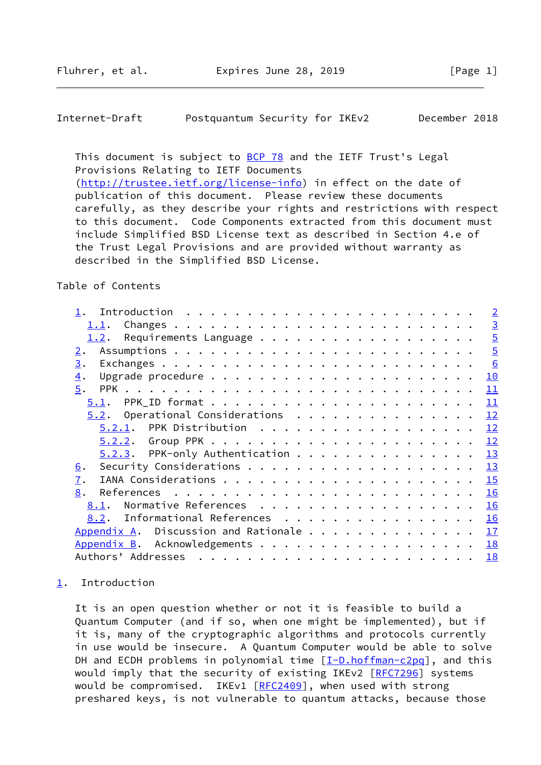<span id="page-1-1"></span>

| Internet-Draft | Postquantum Security for IKEv2 |  |  | December 2018 |  |
|----------------|--------------------------------|--|--|---------------|--|
|----------------|--------------------------------|--|--|---------------|--|

This document is subject to **[BCP 78](https://datatracker.ietf.org/doc/pdf/bcp78)** and the IETF Trust's Legal Provisions Relating to IETF Documents [\(http://trustee.ietf.org/license-info](http://trustee.ietf.org/license-info)) in effect on the date of publication of this document. Please review these documents carefully, as they describe your rights and restrictions with respect to this document. Code Components extracted from this document must include Simplified BSD License text as described in Section 4.e of the Trust Legal Provisions and are provided without warranty as described in the Simplified BSD License.

#### Table of Contents

|                                                                            |  | $\overline{2}$ |
|----------------------------------------------------------------------------|--|----------------|
|                                                                            |  | $\overline{3}$ |
| 1.2.                                                                       |  | $\overline{5}$ |
| 2.                                                                         |  | $\overline{5}$ |
| 3.                                                                         |  | 6              |
| $\overline{4}$ .                                                           |  | 10             |
| 5.                                                                         |  | 11             |
| 5.1.                                                                       |  | 11             |
| $5.2.$ Operational Considerations                                          |  | 12             |
| $5.2.1$ . PPK Distribution                                                 |  | 12             |
|                                                                            |  | 12             |
| $5.2.3$ . PPK-only Authentication                                          |  | 13             |
| 6.                                                                         |  | 13             |
| 7.                                                                         |  | 15             |
| 8.<br>References $\ldots \ldots \ldots \ldots \ldots \ldots \ldots \ldots$ |  | 16             |
| Normative References<br>8.1.                                               |  | 16             |
| Informational References<br>8.2.                                           |  | 16             |
| Appendix A. Discussion and Rationale                                       |  | 17             |
|                                                                            |  | 18             |
|                                                                            |  | 18             |

## <span id="page-1-0"></span>[1](#page-1-0). Introduction

 It is an open question whether or not it is feasible to build a Quantum Computer (and if so, when one might be implemented), but if it is, many of the cryptographic algorithms and protocols currently in use would be insecure. A Quantum Computer would be able to solve DH and ECDH problems in polynomial time  $[\underline{I-D.hoffman-c2pq}]$ , and this would imply that the security of existing IKEv2 [\[RFC7296](https://datatracker.ietf.org/doc/pdf/rfc7296)] systems would be compromised. IKEv1 [\[RFC2409](https://datatracker.ietf.org/doc/pdf/rfc2409)], when used with strong preshared keys, is not vulnerable to quantum attacks, because those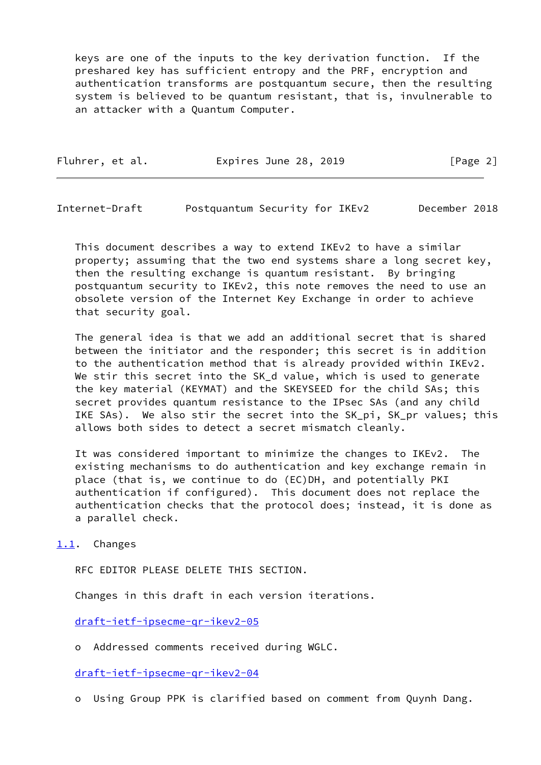keys are one of the inputs to the key derivation function. If the preshared key has sufficient entropy and the PRF, encryption and authentication transforms are postquantum secure, then the resulting system is believed to be quantum resistant, that is, invulnerable to an attacker with a Quantum Computer.

| Fluhrer, et al. | Expires June 28, 2019 |  | [Page 2] |
|-----------------|-----------------------|--|----------|
|-----------------|-----------------------|--|----------|

<span id="page-2-1"></span>Internet-Draft Postquantum Security for IKEv2 December 2018

 This document describes a way to extend IKEv2 to have a similar property; assuming that the two end systems share a long secret key, then the resulting exchange is quantum resistant. By bringing postquantum security to IKEv2, this note removes the need to use an obsolete version of the Internet Key Exchange in order to achieve that security goal.

 The general idea is that we add an additional secret that is shared between the initiator and the responder; this secret is in addition to the authentication method that is already provided within IKEv2. We stir this secret into the SK\_d value, which is used to generate the key material (KEYMAT) and the SKEYSEED for the child SAs; this secret provides quantum resistance to the IPsec SAs (and any child IKE SAs). We also stir the secret into the SK\_pi, SK\_pr values; this allows both sides to detect a secret mismatch cleanly.

 It was considered important to minimize the changes to IKEv2. The existing mechanisms to do authentication and key exchange remain in place (that is, we continue to do (EC)DH, and potentially PKI authentication if configured). This document does not replace the authentication checks that the protocol does; instead, it is done as a parallel check.

<span id="page-2-0"></span>[1.1](#page-2-0). Changes

RFC EDITOR PLEASE DELETE THIS SECTION.

Changes in this draft in each version iterations.

[draft-ietf-ipsecme-qr-ikev2-05](https://datatracker.ietf.org/doc/pdf/draft-ietf-ipsecme-qr-ikev2-05)

o Addressed comments received during WGLC.

[draft-ietf-ipsecme-qr-ikev2-04](https://datatracker.ietf.org/doc/pdf/draft-ietf-ipsecme-qr-ikev2-04)

o Using Group PPK is clarified based on comment from Quynh Dang.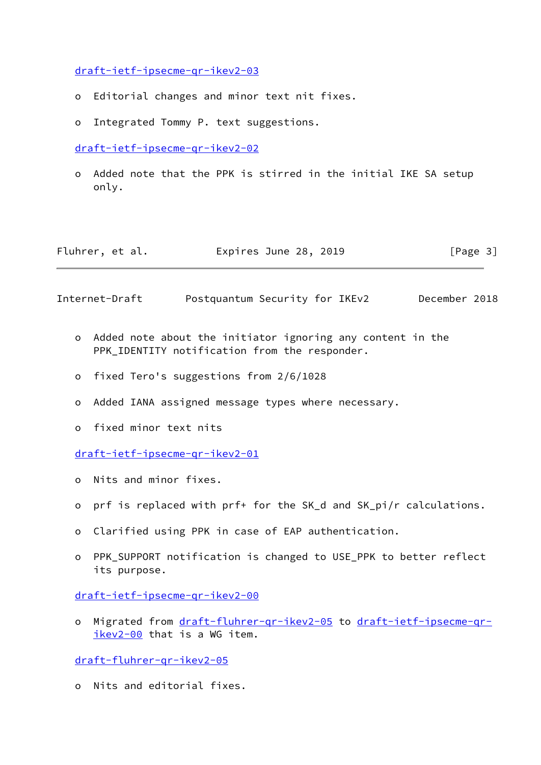[draft-ietf-ipsecme-qr-ikev2-03](https://datatracker.ietf.org/doc/pdf/draft-ietf-ipsecme-qr-ikev2-03)

- o Editorial changes and minor text nit fixes.
- o Integrated Tommy P. text suggestions.

[draft-ietf-ipsecme-qr-ikev2-02](https://datatracker.ietf.org/doc/pdf/draft-ietf-ipsecme-qr-ikev2-02)

 o Added note that the PPK is stirred in the initial IKE SA setup only.

| Fluhrer, et al. | Expires June 28, 2019 | [Page 3] |
|-----------------|-----------------------|----------|
|-----------------|-----------------------|----------|

Internet-Draft Postquantum Security for IKEv2 December 2018

- o Added note about the initiator ignoring any content in the PPK IDENTITY notification from the responder.
- o fixed Tero's suggestions from 2/6/1028
- o Added IANA assigned message types where necessary.
- o fixed minor text nits

[draft-ietf-ipsecme-qr-ikev2-01](https://datatracker.ietf.org/doc/pdf/draft-ietf-ipsecme-qr-ikev2-01)

- o Nits and minor fixes.
- o prf is replaced with prf+ for the SK\_d and SK\_pi/r calculations.
- o Clarified using PPK in case of EAP authentication.
- o PPK\_SUPPORT notification is changed to USE\_PPK to better reflect its purpose.

[draft-ietf-ipsecme-qr-ikev2-00](https://datatracker.ietf.org/doc/pdf/draft-ietf-ipsecme-qr-ikev2-00)

o Migrated from [draft-fluhrer-qr-ikev2-05](https://datatracker.ietf.org/doc/pdf/draft-fluhrer-qr-ikev2-05) to [draft-ietf-ipsecme-qr](https://datatracker.ietf.org/doc/pdf/draft-ietf-ipsecme-qr-ikev2-00) [ikev2-00](https://datatracker.ietf.org/doc/pdf/draft-ietf-ipsecme-qr-ikev2-00) that is a WG item.

[draft-fluhrer-qr-ikev2-05](https://datatracker.ietf.org/doc/pdf/draft-fluhrer-qr-ikev2-05)

o Nits and editorial fixes.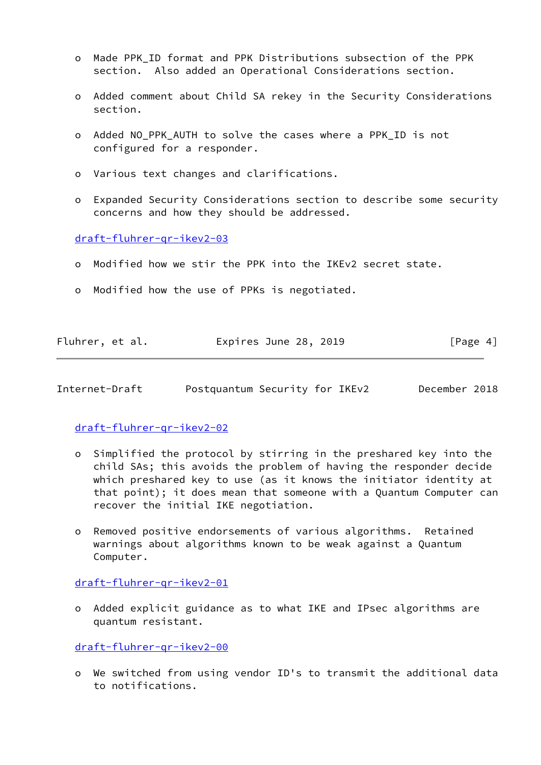- o Made PPK\_ID format and PPK Distributions subsection of the PPK section. Also added an Operational Considerations section.
- o Added comment about Child SA rekey in the Security Considerations section.
- o Added NO\_PPK\_AUTH to solve the cases where a PPK\_ID is not configured for a responder.
- o Various text changes and clarifications.
- o Expanded Security Considerations section to describe some security concerns and how they should be addressed.

[draft-fluhrer-qr-ikev2-03](https://datatracker.ietf.org/doc/pdf/draft-fluhrer-qr-ikev2-03)

- o Modified how we stir the PPK into the IKEv2 secret state.
- o Modified how the use of PPKs is negotiated.

| Fluhrer, et al. | Expires June 28, 2019 | [Page 4] |
|-----------------|-----------------------|----------|
|                 |                       |          |

<span id="page-4-0"></span>Internet-Draft Postquantum Security for IKEv2 December 2018

# [draft-fluhrer-qr-ikev2-02](https://datatracker.ietf.org/doc/pdf/draft-fluhrer-qr-ikev2-02)

- o Simplified the protocol by stirring in the preshared key into the child SAs; this avoids the problem of having the responder decide which preshared key to use (as it knows the initiator identity at that point); it does mean that someone with a Quantum Computer can recover the initial IKE negotiation.
- o Removed positive endorsements of various algorithms. Retained warnings about algorithms known to be weak against a Quantum Computer.

[draft-fluhrer-qr-ikev2-01](https://datatracker.ietf.org/doc/pdf/draft-fluhrer-qr-ikev2-01)

 o Added explicit guidance as to what IKE and IPsec algorithms are quantum resistant.

[draft-fluhrer-qr-ikev2-00](https://datatracker.ietf.org/doc/pdf/draft-fluhrer-qr-ikev2-00)

 o We switched from using vendor ID's to transmit the additional data to notifications.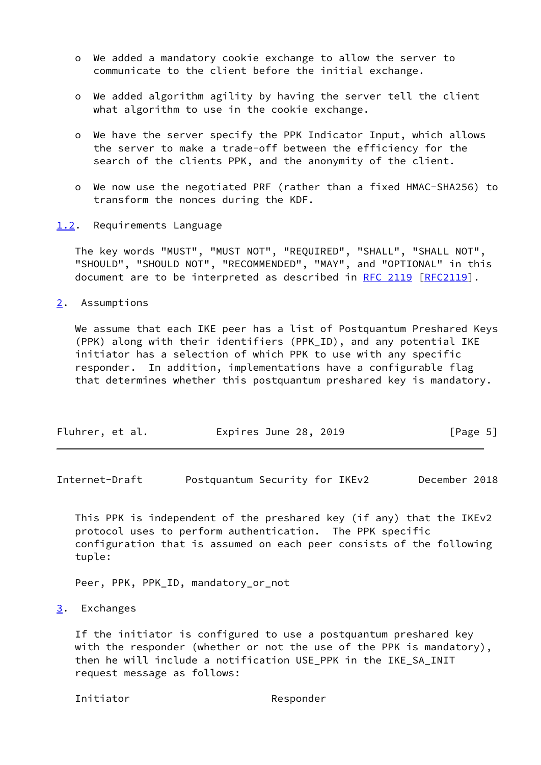- o We added a mandatory cookie exchange to allow the server to communicate to the client before the initial exchange.
- o We added algorithm agility by having the server tell the client what algorithm to use in the cookie exchange.
- o We have the server specify the PPK Indicator Input, which allows the server to make a trade-off between the efficiency for the search of the clients PPK, and the anonymity of the client.
- o We now use the negotiated PRF (rather than a fixed HMAC-SHA256) to transform the nonces during the KDF.
- <span id="page-5-0"></span>[1.2](#page-5-0). Requirements Language

 The key words "MUST", "MUST NOT", "REQUIRED", "SHALL", "SHALL NOT", "SHOULD", "SHOULD NOT", "RECOMMENDED", "MAY", and "OPTIONAL" in this document are to be interpreted as described in [RFC 2119 \[RFC2119](https://datatracker.ietf.org/doc/pdf/rfc2119)].

<span id="page-5-1"></span>[2](#page-5-1). Assumptions

 We assume that each IKE peer has a list of Postquantum Preshared Keys (PPK) along with their identifiers (PPK\_ID), and any potential IKE initiator has a selection of which PPK to use with any specific responder. In addition, implementations have a configurable flag that determines whether this postquantum preshared key is mandatory.

| Fluhrer, et al.<br>Expires June 28, 2019 | [Page 5] |
|------------------------------------------|----------|
|------------------------------------------|----------|

<span id="page-5-3"></span>Internet-Draft Postquantum Security for IKEv2 December 2018

 This PPK is independent of the preshared key (if any) that the IKEv2 protocol uses to perform authentication. The PPK specific configuration that is assumed on each peer consists of the following tuple:

Peer, PPK, PPK\_ID, mandatory\_or\_not

<span id="page-5-2"></span>[3](#page-5-2). Exchanges

 If the initiator is configured to use a postquantum preshared key with the responder (whether or not the use of the PPK is mandatory), then he will include a notification USE\_PPK in the IKE\_SA\_INIT request message as follows:

Initiator Responder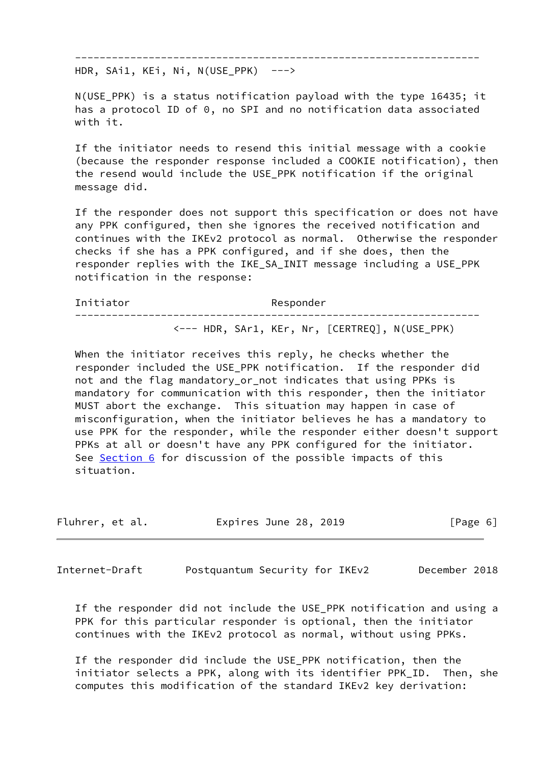------------------------------------------------------------------

HDR, SAi1, KEi, Ni, N(USE\_PPK) --->

N(USE PPK) is a status notification payload with the type 16435; it has a protocol ID of 0, no SPI and no notification data associated with it.

 If the initiator needs to resend this initial message with a cookie (because the responder response included a COOKIE notification), then the resend would include the USE\_PPK notification if the original message did.

 If the responder does not support this specification or does not have any PPK configured, then she ignores the received notification and continues with the IKEv2 protocol as normal. Otherwise the responder checks if she has a PPK configured, and if she does, then the responder replies with the IKE\_SA\_INIT message including a USE\_PPK notification in the response:

Initiator Responder ------------------------------------------------------------------ <--- HDR, SAr1, KEr, Nr, [CERTREQ], N(USE\_PPK)

When the initiator receives this reply, he checks whether the responder included the USE\_PPK notification. If the responder did not and the flag mandatory\_or\_not indicates that using PPKs is mandatory for communication with this responder, then the initiator MUST abort the exchange. This situation may happen in case of misconfiguration, when the initiator believes he has a mandatory to use PPK for the responder, while the responder either doesn't support PPKs at all or doesn't have any PPK configured for the initiator. See [Section 6](#page-14-0) for discussion of the possible impacts of this situation.

| Fluhrer, et al.<br>Expires June 28, 2019 | [Page 6] |  |  |
|------------------------------------------|----------|--|--|
|------------------------------------------|----------|--|--|

Internet-Draft Postquantum Security for IKEv2 December 2018

 If the responder did not include the USE\_PPK notification and using a PPK for this particular responder is optional, then the initiator continues with the IKEv2 protocol as normal, without using PPKs.

 If the responder did include the USE\_PPK notification, then the initiator selects a PPK, along with its identifier PPK\_ID. Then, she computes this modification of the standard IKEv2 key derivation: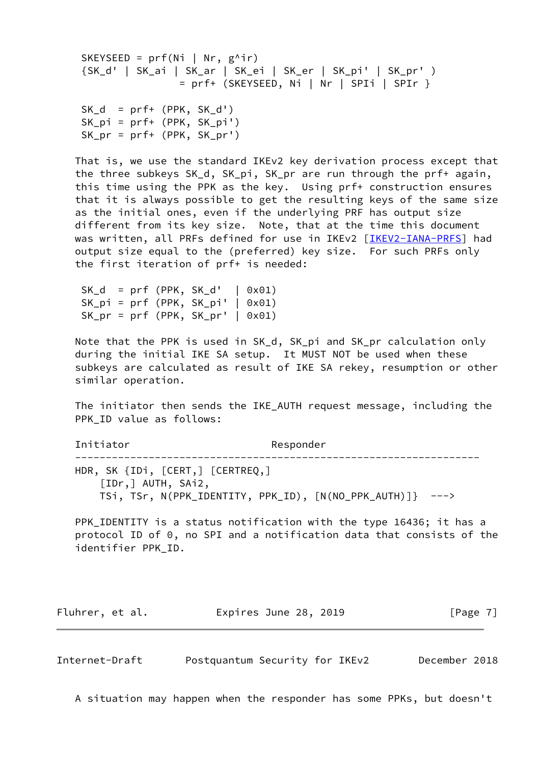```
SKEYSEED = prf(Ni | Nr, g^{\wedge}ir) {SK_d' | SK_ai | SK_ar | SK_ei | SK_er | SK_pi' | SK_pr' )
                = prf+ (SKEYSEED, Ni | Nr | SPIi | SPIr }
SK_d = prf+ (PPK, SK_d') SK_pi = prf+ (PPK, SK_pi')
SK pr = prf+ (PPK, SKpr')
```
 That is, we use the standard IKEv2 key derivation process except that the three subkeys SK\_d, SK\_pi, SK\_pr are run through the prf+ again, this time using the PPK as the key. Using prf+ construction ensures that it is always possible to get the resulting keys of the same size as the initial ones, even if the underlying PRF has output size different from its key size. Note, that at the time this document was written, all PRFs defined for use in IKEv2 [\[IKEV2-IANA-PRFS](#page-17-5)] had output size equal to the (preferred) key size. For such PRFs only the first iteration of prf+ is needed:

 $SK_d = prf (PPK, SK_d' | 0x01)$  $SK\_pi = prf (PPK, SK\_pi' | 0x01)$  $SK_pr = prf$  (PPK,  $SK_pr'$  | 0x01)

 Note that the PPK is used in SK\_d, SK\_pi and SK\_pr calculation only during the initial IKE SA setup. It MUST NOT be used when these subkeys are calculated as result of IKE SA rekey, resumption or other similar operation.

 The initiator then sends the IKE\_AUTH request message, including the PPK\_ID value as follows:

Initiator Responder

 ------------------------------------------------------------------ HDR, SK {IDi, [CERT,] [CERTREQ,] [IDr,] AUTH, SAi2, TSi, TSr, N(PPK\_IDENTITY, PPK\_ID), [N(NO\_PPK\_AUTH)]} --->

 PPK\_IDENTITY is a status notification with the type 16436; it has a protocol ID of 0, no SPI and a notification data that consists of the identifier PPK\_ID.

Fluhrer, et al. **Expires June 28, 2019** [Page 7]

Internet-Draft Postquantum Security for IKEv2 December 2018

A situation may happen when the responder has some PPKs, but doesn't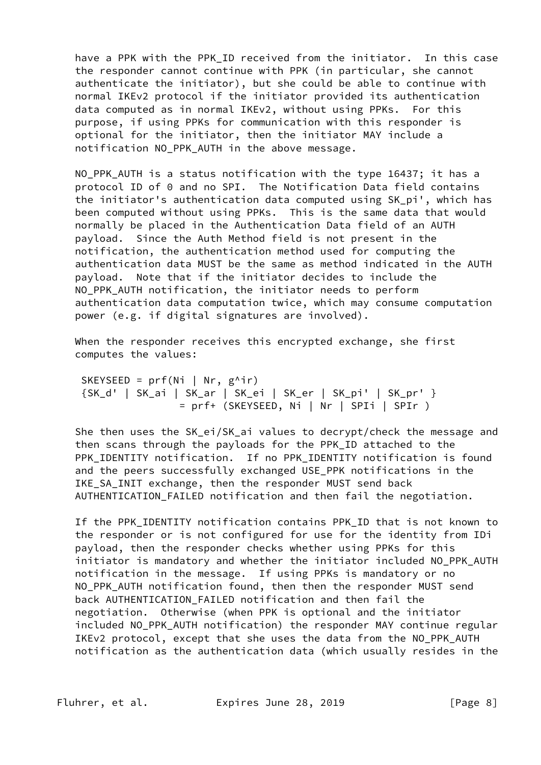have a PPK with the PPK ID received from the initiator. In this case the responder cannot continue with PPK (in particular, she cannot authenticate the initiator), but she could be able to continue with normal IKEv2 protocol if the initiator provided its authentication data computed as in normal IKEv2, without using PPKs. For this purpose, if using PPKs for communication with this responder is optional for the initiator, then the initiator MAY include a notification NO\_PPK\_AUTH in the above message.

NO PPK AUTH is a status notification with the type 16437; it has a protocol ID of 0 and no SPI. The Notification Data field contains the initiator's authentication data computed using SK\_pi', which has been computed without using PPKs. This is the same data that would normally be placed in the Authentication Data field of an AUTH payload. Since the Auth Method field is not present in the notification, the authentication method used for computing the authentication data MUST be the same as method indicated in the AUTH payload. Note that if the initiator decides to include the NO PPK AUTH notification, the initiator needs to perform authentication data computation twice, which may consume computation power (e.g. if digital signatures are involved).

When the responder receives this encrypted exchange, she first computes the values:

SKEYSEED =  $prf(Ni | Nr, g^{\wedge}ir)$  {SK\_d' | SK\_ai | SK\_ar | SK\_ei | SK\_er | SK\_pi' | SK\_pr' }  $= prf+$  (SKEYSEED, Ni | Nr | SPIi | SPIr )

 She then uses the SK\_ei/SK\_ai values to decrypt/check the message and then scans through the payloads for the PPK\_ID attached to the PPK IDENTITY notification. If no PPK IDENTITY notification is found and the peers successfully exchanged USE\_PPK notifications in the IKE\_SA\_INIT exchange, then the responder MUST send back AUTHENTICATION FAILED notification and then fail the negotiation.

If the PPK IDENTITY notification contains PPK ID that is not known to the responder or is not configured for use for the identity from IDi payload, then the responder checks whether using PPKs for this initiator is mandatory and whether the initiator included NO\_PPK\_AUTH notification in the message. If using PPKs is mandatory or no NO\_PPK\_AUTH notification found, then then the responder MUST send back AUTHENTICATION\_FAILED notification and then fail the negotiation. Otherwise (when PPK is optional and the initiator included NO\_PPK\_AUTH notification) the responder MAY continue regular IKEv2 protocol, except that she uses the data from the NO\_PPK\_AUTH notification as the authentication data (which usually resides in the

Fluhrer, et al. **Expires June 28, 2019** [Page 8]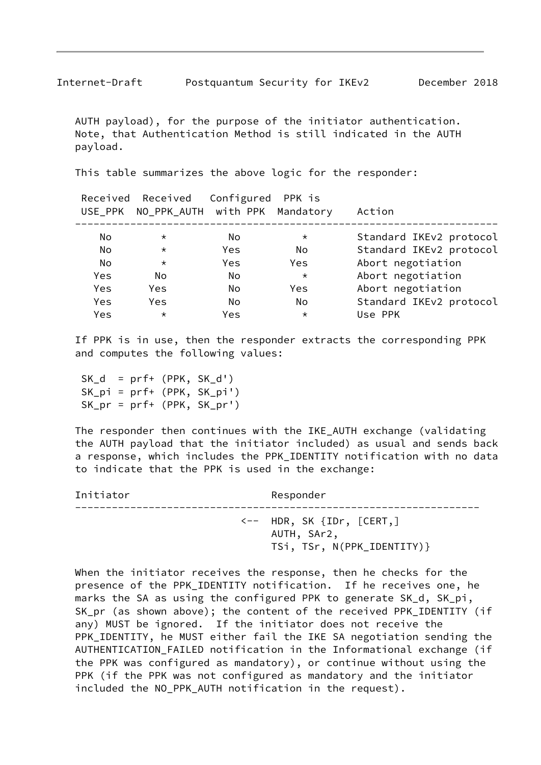AUTH payload), for the purpose of the initiator authentication. Note, that Authentication Method is still indicated in the AUTH payload.

This table summarizes the above logic for the responder:

|     | Received Received Configured PPK is<br>USE_PPK NO_PPK_AUTH with PPK Mandatory |            |            | Action                  |
|-----|-------------------------------------------------------------------------------|------------|------------|-------------------------|
| No  | $\star$                                                                       | No.        | $\star$    | Standard IKEv2 protocol |
| No. | $\star$                                                                       | <b>Yes</b> | No         | Standard IKEv2 protocol |
| No. | $\star$                                                                       | <b>Yes</b> | <b>Yes</b> | Abort negotiation       |
| Yes | No                                                                            | No         | $\star$    | Abort negotiation       |
| Yes | Yes.                                                                          | No.        | <b>Yes</b> | Abort negotiation       |
| Yes | Yes                                                                           | No.        | No.        | Standard IKEv2 protocol |
| Yes | $\star$                                                                       | Yes        | $\star$    | Use PPK                 |
|     |                                                                               |            |            |                         |

 If PPK is in use, then the responder extracts the corresponding PPK and computes the following values:

SK  $d = prf+ (PPK, SKd')$  SK\_pi = prf+ (PPK, SK\_pi') SK\_pr = prf+ (PPK, SK\_pr')

 The responder then continues with the IKE\_AUTH exchange (validating the AUTH payload that the initiator included) as usual and sends back a response, which includes the PPK\_IDENTITY notification with no data to indicate that the PPK is used in the exchange:

Initiator Responder ------------------------------------------------------------------ <-- HDR, SK {IDr, [CERT,] AUTH, SAr2, TSi, TSr, N(PPK\_IDENTITY)}

 When the initiator receives the response, then he checks for the presence of the PPK\_IDENTITY notification. If he receives one, he marks the SA as using the configured PPK to generate SK\_d, SK\_pi, SK\_pr (as shown above); the content of the received PPK\_IDENTITY (if any) MUST be ignored. If the initiator does not receive the PPK\_IDENTITY, he MUST either fail the IKE SA negotiation sending the AUTHENTICATION\_FAILED notification in the Informational exchange (if the PPK was configured as mandatory), or continue without using the PPK (if the PPK was not configured as mandatory and the initiator included the NO\_PPK\_AUTH notification in the request).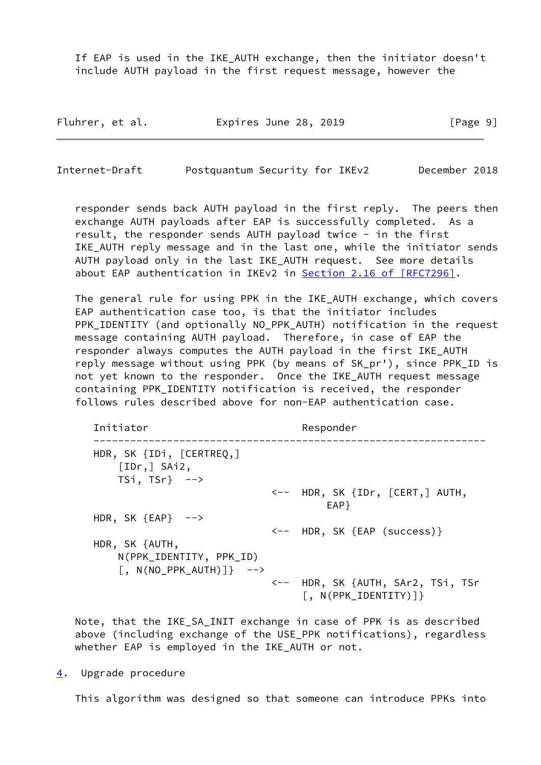If EAP is used in the IKE AUTH exchange, then the initiator doesn't include AUTH payload in the first request message, however the

| Fluhrer, et al. | Expires June 28, 2019 | [Page 9] |
|-----------------|-----------------------|----------|
|-----------------|-----------------------|----------|

<span id="page-10-1"></span>Internet-Draft Postquantum Security for IKEv2 December 2018

 responder sends back AUTH payload in the first reply. The peers then exchange AUTH payloads after EAP is successfully completed. As a result, the responder sends AUTH payload twice - in the first IKE\_AUTH reply message and in the last one, while the initiator sends AUTH payload only in the last IKE AUTH request. See more details about EAP authentication in IKEv2 in Section [2.16 of \[RFC7296\]](https://datatracker.ietf.org/doc/pdf/rfc7296#section-2.16).

The general rule for using PPK in the IKE AUTH exchange, which covers EAP authentication case too, is that the initiator includes PPK\_IDENTITY (and optionally NO\_PPK\_AUTH) notification in the request message containing AUTH payload. Therefore, in case of EAP the responder always computes the AUTH payload in the first IKE\_AUTH reply message without using PPK (by means of SK\_pr'), since PPK\_ID is not yet known to the responder. Once the IKE\_AUTH request message containing PPK\_IDENTITY notification is received, the responder follows rules described above for non-EAP authentication case.

| Initiator                                                                             | Responder                                                         |
|---------------------------------------------------------------------------------------|-------------------------------------------------------------------|
| HDR, SK $\{IDi, \; [CERTREQ, ]$<br>[IDr, ] Shi2,<br>$TSi, TSr} \quad -- \rightarrow$  |                                                                   |
|                                                                                       | $\leftarrow$ HDR, SK $\{IDr, [CERT,] AUTH,$<br>EAP }              |
| HDR, SK ${EAP}$ -->                                                                   |                                                                   |
|                                                                                       | <-- HDR, SK {EAP (success)}                                       |
| HDR, SK {AUTH,<br>N(PPK_IDENTITY, PPK_ID)<br>$\lceil$ , N(NO_PPK_AUTH) $\rceil$ } --> |                                                                   |
|                                                                                       | <-- HDR, SK {AUTH, SAr2, TSi, TSr<br>$\lceil$ , N(PPK_IDENTITY)]} |

 Note, that the IKE\_SA\_INIT exchange in case of PPK is as described above (including exchange of the USE\_PPK notifications), regardless whether EAP is employed in the IKE\_AUTH or not.

<span id="page-10-0"></span>[4](#page-10-0). Upgrade procedure

This algorithm was designed so that someone can introduce PPKs into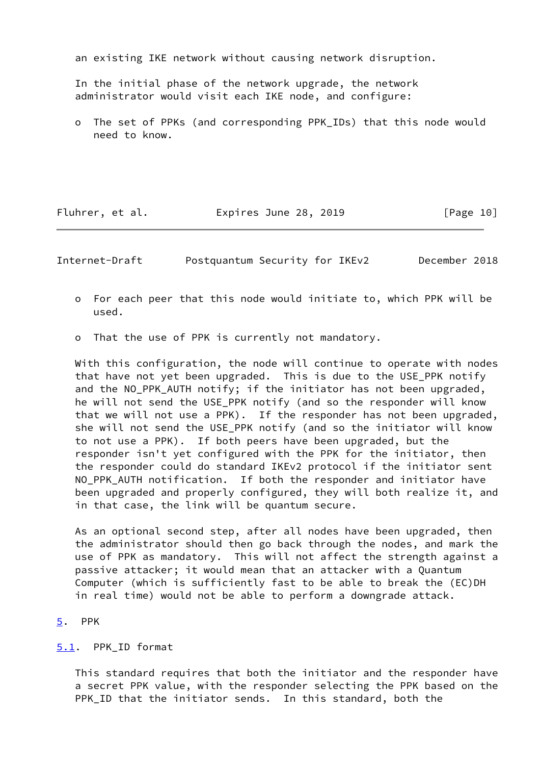an existing IKE network without causing network disruption.

 In the initial phase of the network upgrade, the network administrator would visit each IKE node, and configure:

 o The set of PPKs (and corresponding PPK\_IDs) that this node would need to know.

Fluhrer, et al. **Expires June 28, 2019** [Page 10]

<span id="page-11-1"></span>Internet-Draft Postquantum Security for IKEv2 December 2018

- o For each peer that this node would initiate to, which PPK will be used.
- o That the use of PPK is currently not mandatory.

 With this configuration, the node will continue to operate with nodes that have not yet been upgraded. This is due to the USE\_PPK notify and the NO PPK AUTH notify; if the initiator has not been upgraded, he will not send the USE\_PPK notify (and so the responder will know that we will not use a PPK). If the responder has not been upgraded, she will not send the USE\_PPK notify (and so the initiator will know to not use a PPK). If both peers have been upgraded, but the responder isn't yet configured with the PPK for the initiator, then the responder could do standard IKEv2 protocol if the initiator sent NO\_PPK\_AUTH notification. If both the responder and initiator have been upgraded and properly configured, they will both realize it, and in that case, the link will be quantum secure.

 As an optional second step, after all nodes have been upgraded, then the administrator should then go back through the nodes, and mark the use of PPK as mandatory. This will not affect the strength against a passive attacker; it would mean that an attacker with a Quantum Computer (which is sufficiently fast to be able to break the (EC)DH in real time) would not be able to perform a downgrade attack.

#### <span id="page-11-0"></span>[5](#page-11-0). PPK

#### <span id="page-11-2"></span>[5.1](#page-11-2). PPK\_ID format

 This standard requires that both the initiator and the responder have a secret PPK value, with the responder selecting the PPK based on the PPK\_ID that the initiator sends. In this standard, both the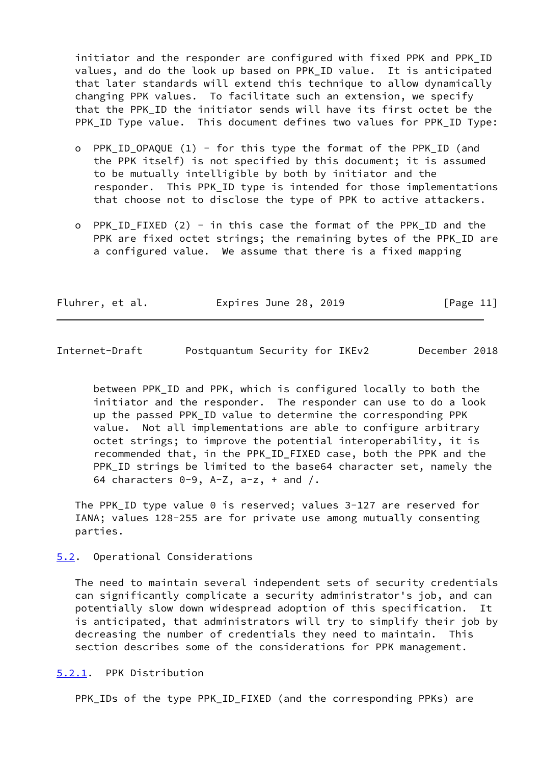initiator and the responder are configured with fixed PPK and PPK\_ID values, and do the look up based on PPK\_ID value. It is anticipated that later standards will extend this technique to allow dynamically changing PPK values. To facilitate such an extension, we specify that the PPK\_ID the initiator sends will have its first octet be the PPK\_ID Type value. This document defines two values for PPK\_ID Type:

- o PPK\_ID\_OPAQUE  $(1)$  for this type the format of the PPK\_ID (and the PPK itself) is not specified by this document; it is assumed to be mutually intelligible by both by initiator and the responder. This PPK\_ID type is intended for those implementations that choose not to disclose the type of PPK to active attackers.
- o PPK\_ID\_FIXED (2) in this case the format of the PPK\_ID and the PPK are fixed octet strings; the remaining bytes of the PPK\_ID are a configured value. We assume that there is a fixed mapping

| Fluhrer, et al. | Expires June 28, 2019 | [Page 11] |
|-----------------|-----------------------|-----------|
|-----------------|-----------------------|-----------|

<span id="page-12-1"></span>Internet-Draft Postquantum Security for IKEv2 December 2018

 between PPK\_ID and PPK, which is configured locally to both the initiator and the responder. The responder can use to do a look up the passed PPK\_ID value to determine the corresponding PPK value. Not all implementations are able to configure arbitrary octet strings; to improve the potential interoperability, it is recommended that, in the PPK\_ID\_FIXED case, both the PPK and the PPK\_ID strings be limited to the base64 character set, namely the 64 characters  $0-9$ ,  $A-Z$ ,  $a-z$ ,  $+$  and  $/$ .

 The PPK\_ID type value 0 is reserved; values 3-127 are reserved for IANA; values 128-255 are for private use among mutually consenting parties.

<span id="page-12-0"></span>[5.2](#page-12-0). Operational Considerations

 The need to maintain several independent sets of security credentials can significantly complicate a security administrator's job, and can potentially slow down widespread adoption of this specification. It is anticipated, that administrators will try to simplify their job by decreasing the number of credentials they need to maintain. This section describes some of the considerations for PPK management.

<span id="page-12-2"></span>[5.2.1](#page-12-2). PPK Distribution

PPK\_IDs of the type PPK\_ID\_FIXED (and the corresponding PPKs) are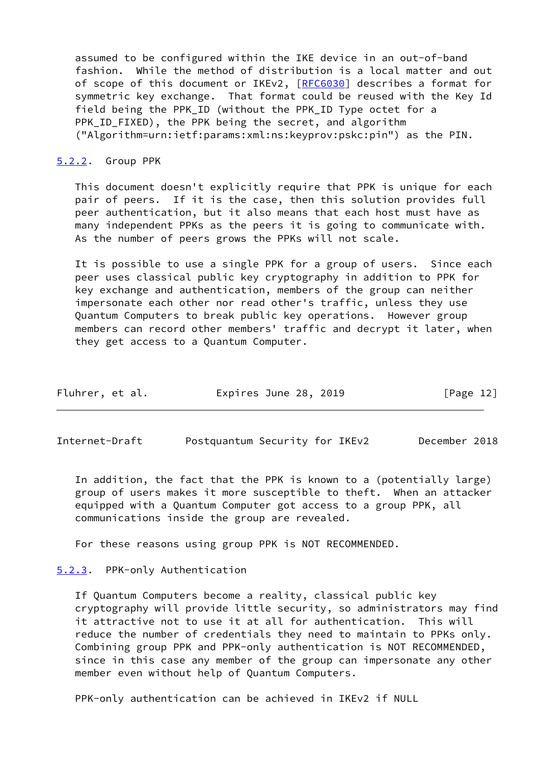assumed to be configured within the IKE device in an out-of-band fashion. While the method of distribution is a local matter and out of scope of this document or IKEv2, [\[RFC6030](https://datatracker.ietf.org/doc/pdf/rfc6030)] describes a format for symmetric key exchange. That format could be reused with the Key Id field being the PPK\_ID (without the PPK\_ID Type octet for a PPK ID FIXED), the PPK being the secret, and algorithm ("Algorithm=urn:ietf:params:xml:ns:keyprov:pskc:pin") as the PIN.

#### <span id="page-13-0"></span>[5.2.2](#page-13-0). Group PPK

 This document doesn't explicitly require that PPK is unique for each pair of peers. If it is the case, then this solution provides full peer authentication, but it also means that each host must have as many independent PPKs as the peers it is going to communicate with. As the number of peers grows the PPKs will not scale.

 It is possible to use a single PPK for a group of users. Since each peer uses classical public key cryptography in addition to PPK for key exchange and authentication, members of the group can neither impersonate each other nor read other's traffic, unless they use Quantum Computers to break public key operations. However group members can record other members' traffic and decrypt it later, when they get access to a Quantum Computer.

| Fluhrer, et al. | Expires June 28, 2019 | [Page 12] |
|-----------------|-----------------------|-----------|
|-----------------|-----------------------|-----------|

<span id="page-13-2"></span>Internet-Draft Postquantum Security for IKEv2 December 2018

 In addition, the fact that the PPK is known to a (potentially large) group of users makes it more susceptible to theft. When an attacker equipped with a Quantum Computer got access to a group PPK, all communications inside the group are revealed.

For these reasons using group PPK is NOT RECOMMENDED.

## <span id="page-13-1"></span>[5.2.3](#page-13-1). PPK-only Authentication

 If Quantum Computers become a reality, classical public key cryptography will provide little security, so administrators may find it attractive not to use it at all for authentication. This will reduce the number of credentials they need to maintain to PPKs only. Combining group PPK and PPK-only authentication is NOT RECOMMENDED, since in this case any member of the group can impersonate any other member even without help of Quantum Computers.

PPK-only authentication can be achieved in IKEv2 if NULL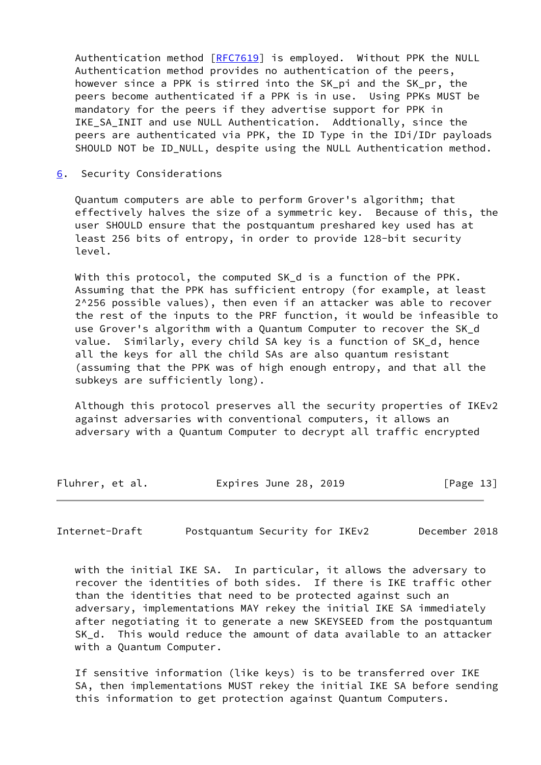Authentication method [[RFC7619](https://datatracker.ietf.org/doc/pdf/rfc7619)] is employed. Without PPK the NULL Authentication method provides no authentication of the peers, however since a PPK is stirred into the SK pi and the SK pr, the peers become authenticated if a PPK is in use. Using PPKs MUST be mandatory for the peers if they advertise support for PPK in IKE\_SA\_INIT and use NULL Authentication. Addtionally, since the peers are authenticated via PPK, the ID Type in the IDi/IDr payloads SHOULD NOT be ID\_NULL, despite using the NULL Authentication method.

<span id="page-14-0"></span>[6](#page-14-0). Security Considerations

 Quantum computers are able to perform Grover's algorithm; that effectively halves the size of a symmetric key. Because of this, the user SHOULD ensure that the postquantum preshared key used has at least 256 bits of entropy, in order to provide 128-bit security level.

 With this protocol, the computed SK\_d is a function of the PPK. Assuming that the PPK has sufficient entropy (for example, at least 2^256 possible values), then even if an attacker was able to recover the rest of the inputs to the PRF function, it would be infeasible to use Grover's algorithm with a Quantum Computer to recover the SK\_d value. Similarly, every child SA key is a function of SK\_d, hence all the keys for all the child SAs are also quantum resistant (assuming that the PPK was of high enough entropy, and that all the subkeys are sufficiently long).

 Although this protocol preserves all the security properties of IKEv2 against adversaries with conventional computers, it allows an adversary with a Quantum Computer to decrypt all traffic encrypted

|  | Fluhrer, et al. | Expires June 28, 2019 | [Page 13] |
|--|-----------------|-----------------------|-----------|
|--|-----------------|-----------------------|-----------|

Internet-Draft Postquantum Security for IKEv2 December 2018

 with the initial IKE SA. In particular, it allows the adversary to recover the identities of both sides. If there is IKE traffic other than the identities that need to be protected against such an adversary, implementations MAY rekey the initial IKE SA immediately after negotiating it to generate a new SKEYSEED from the postquantum SK d. This would reduce the amount of data available to an attacker with a Quantum Computer.

 If sensitive information (like keys) is to be transferred over IKE SA, then implementations MUST rekey the initial IKE SA before sending this information to get protection against Quantum Computers.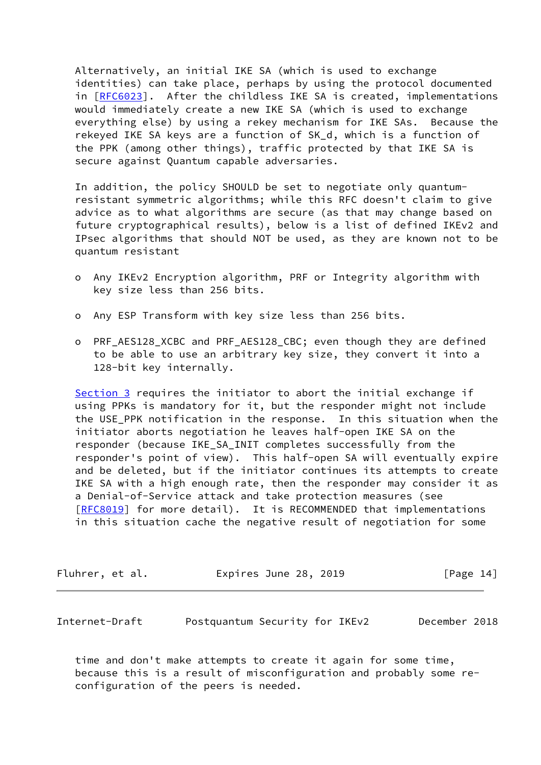Alternatively, an initial IKE SA (which is used to exchange identities) can take place, perhaps by using the protocol documented in [[RFC6023\]](https://datatracker.ietf.org/doc/pdf/rfc6023). After the childless IKE SA is created, implementations would immediately create a new IKE SA (which is used to exchange everything else) by using a rekey mechanism for IKE SAs. Because the rekeyed IKE SA keys are a function of SK\_d, which is a function of the PPK (among other things), traffic protected by that IKE SA is secure against Quantum capable adversaries.

 In addition, the policy SHOULD be set to negotiate only quantum resistant symmetric algorithms; while this RFC doesn't claim to give advice as to what algorithms are secure (as that may change based on future cryptographical results), below is a list of defined IKEv2 and IPsec algorithms that should NOT be used, as they are known not to be quantum resistant

- o Any IKEv2 Encryption algorithm, PRF or Integrity algorithm with key size less than 256 bits.
- o Any ESP Transform with key size less than 256 bits.
- o PRF\_AES128\_XCBC and PRF\_AES128\_CBC; even though they are defined to be able to use an arbitrary key size, they convert it into a 128-bit key internally.

[Section 3](#page-5-2) requires the initiator to abort the initial exchange if using PPKs is mandatory for it, but the responder might not include the USE\_PPK notification in the response. In this situation when the initiator aborts negotiation he leaves half-open IKE SA on the responder (because IKE\_SA\_INIT completes successfully from the responder's point of view). This half-open SA will eventually expire and be deleted, but if the initiator continues its attempts to create IKE SA with a high enough rate, then the responder may consider it as a Denial-of-Service attack and take protection measures (see [\[RFC8019](https://datatracker.ietf.org/doc/pdf/rfc8019)] for more detail). It is RECOMMENDED that implementations in this situation cache the negative result of negotiation for some

| Fluhrer, et al. | Expires June 28, 2019 | [Page 14] |
|-----------------|-----------------------|-----------|
|-----------------|-----------------------|-----------|

<span id="page-15-0"></span>Internet-Draft Postquantum Security for IKEv2 December 2018

 time and don't make attempts to create it again for some time, because this is a result of misconfiguration and probably some re configuration of the peers is needed.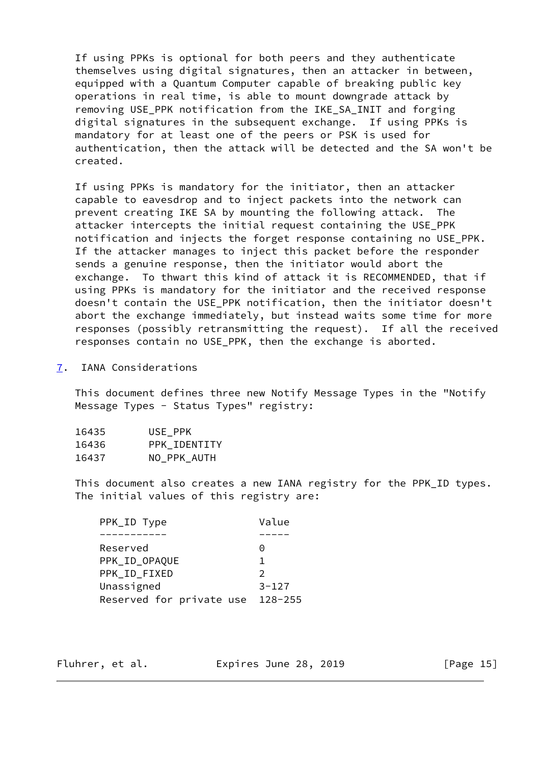If using PPKs is optional for both peers and they authenticate themselves using digital signatures, then an attacker in between, equipped with a Quantum Computer capable of breaking public key operations in real time, is able to mount downgrade attack by removing USE\_PPK notification from the IKE\_SA\_INIT and forging digital signatures in the subsequent exchange. If using PPKs is mandatory for at least one of the peers or PSK is used for authentication, then the attack will be detected and the SA won't be created.

 If using PPKs is mandatory for the initiator, then an attacker capable to eavesdrop and to inject packets into the network can prevent creating IKE SA by mounting the following attack. The attacker intercepts the initial request containing the USE\_PPK notification and injects the forget response containing no USE\_PPK. If the attacker manages to inject this packet before the responder sends a genuine response, then the initiator would abort the exchange. To thwart this kind of attack it is RECOMMENDED, that if using PPKs is mandatory for the initiator and the received response doesn't contain the USE\_PPK notification, then the initiator doesn't abort the exchange immediately, but instead waits some time for more responses (possibly retransmitting the request). If all the received responses contain no USE\_PPK, then the exchange is aborted.

<span id="page-16-0"></span>[7](#page-16-0). IANA Considerations

 This document defines three new Notify Message Types in the "Notify Message Types - Status Types" registry:

| 16435 | USE_PPK      |
|-------|--------------|
| 16436 | PPK IDENTITY |
| 16437 | NO_PPK_AUTH  |

 This document also creates a new IANA registry for the PPK\_ID types. The initial values of this registry are:

| PPK_ID Type              | Value         |
|--------------------------|---------------|
|                          |               |
| Reserved                 | റ             |
| PPK ID OPAQUE            | 1             |
| PPK_ID_FIXED             | $\mathcal{P}$ |
| Unassigned               | $3 - 127$     |
| Reserved for private use | 128-255       |

Fluhrer, et al. **Expires June 28, 2019** [Page 15]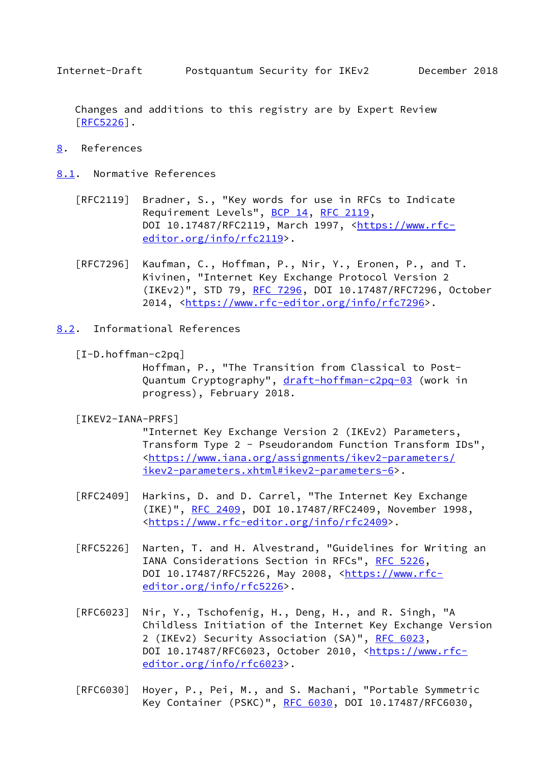<span id="page-17-1"></span> Changes and additions to this registry are by Expert Review [\[RFC5226](https://datatracker.ietf.org/doc/pdf/rfc5226)].

- <span id="page-17-0"></span>[8](#page-17-0). References
- <span id="page-17-2"></span>[8.1](#page-17-2). Normative References
	- [RFC2119] Bradner, S., "Key words for use in RFCs to Indicate Requirement Levels", [BCP 14](https://datatracker.ietf.org/doc/pdf/bcp14), [RFC 2119](https://datatracker.ietf.org/doc/pdf/rfc2119), DOI 10.17487/RFC2119, March 1997, [<https://www.rfc](https://www.rfc-editor.org/info/rfc2119) [editor.org/info/rfc2119](https://www.rfc-editor.org/info/rfc2119)>.
	- [RFC7296] Kaufman, C., Hoffman, P., Nir, Y., Eronen, P., and T. Kivinen, "Internet Key Exchange Protocol Version 2 (IKEv2)", STD 79, [RFC 7296](https://datatracker.ietf.org/doc/pdf/rfc7296), DOI 10.17487/RFC7296, October 2014, [<https://www.rfc-editor.org/info/rfc7296](https://www.rfc-editor.org/info/rfc7296)>.
- <span id="page-17-4"></span><span id="page-17-3"></span>[8.2](#page-17-3). Informational References
	- [I-D.hoffman-c2pq]

 Hoffman, P., "The Transition from Classical to Post Quantum Cryptography", [draft-hoffman-c2pq-03](https://datatracker.ietf.org/doc/pdf/draft-hoffman-c2pq-03) (work in progress), February 2018.

<span id="page-17-5"></span>[IKEV2-IANA-PRFS]

 "Internet Key Exchange Version 2 (IKEv2) Parameters, Transform Type 2 - Pseudorandom Function Transform IDs", <[https://www.iana.org/assignments/ikev2-parameters/](https://www.iana.org/assignments/ikev2-parameters/ikev2-parameters.xhtml#ikev2-parameters-6) [ikev2-parameters.xhtml#ikev2-parameters-6>](https://www.iana.org/assignments/ikev2-parameters/ikev2-parameters.xhtml#ikev2-parameters-6).

- [RFC2409] Harkins, D. and D. Carrel, "The Internet Key Exchange (IKE)", [RFC 2409,](https://datatracker.ietf.org/doc/pdf/rfc2409) DOI 10.17487/RFC2409, November 1998, <[https://www.rfc-editor.org/info/rfc2409>](https://www.rfc-editor.org/info/rfc2409).
- [RFC5226] Narten, T. and H. Alvestrand, "Guidelines for Writing an IANA Considerations Section in RFCs", [RFC 5226](https://datatracker.ietf.org/doc/pdf/rfc5226), DOI 10.17487/RFC5226, May 2008, <[https://www.rfc](https://www.rfc-editor.org/info/rfc5226) [editor.org/info/rfc5226](https://www.rfc-editor.org/info/rfc5226)>.
- [RFC6023] Nir, Y., Tschofenig, H., Deng, H., and R. Singh, "A Childless Initiation of the Internet Key Exchange Version 2 (IKEv2) Security Association (SA)", [RFC 6023](https://datatracker.ietf.org/doc/pdf/rfc6023), DOI 10.17487/RFC6023, October 2010, [<https://www.rfc](https://www.rfc-editor.org/info/rfc6023) [editor.org/info/rfc6023](https://www.rfc-editor.org/info/rfc6023)>.
- [RFC6030] Hoyer, P., Pei, M., and S. Machani, "Portable Symmetric Key Container (PSKC)", [RFC 6030](https://datatracker.ietf.org/doc/pdf/rfc6030), DOI 10.17487/RFC6030,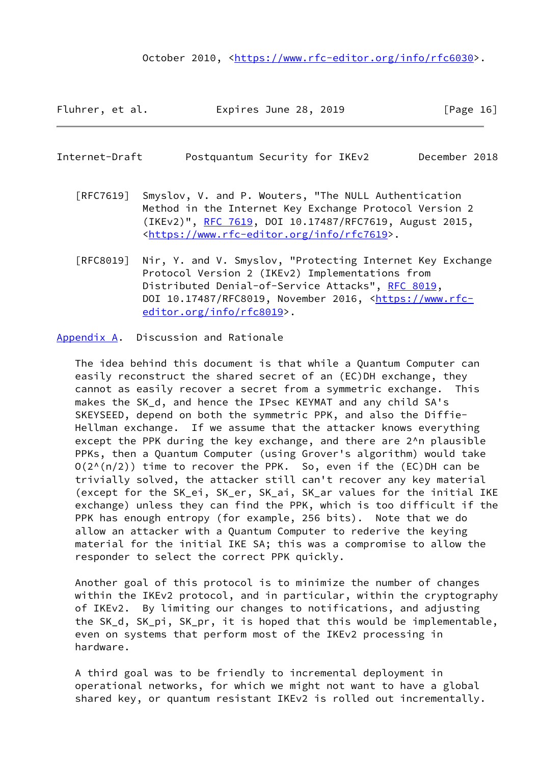### October 2010, [<https://www.rfc-editor.org/info/rfc6030](https://www.rfc-editor.org/info/rfc6030)>.

Fluhrer, et al. Expires June 28, 2019 [Page 16]

- <span id="page-18-1"></span>Internet-Draft Postquantum Security for IKEv2 December 2018
	- [RFC7619] Smyslov, V. and P. Wouters, "The NULL Authentication Method in the Internet Key Exchange Protocol Version 2 (IKEv2)", [RFC 7619](https://datatracker.ietf.org/doc/pdf/rfc7619), DOI 10.17487/RFC7619, August 2015, <[https://www.rfc-editor.org/info/rfc7619>](https://www.rfc-editor.org/info/rfc7619).
	- [RFC8019] Nir, Y. and V. Smyslov, "Protecting Internet Key Exchange Protocol Version 2 (IKEv2) Implementations from Distributed Denial-of-Service Attacks", [RFC 8019,](https://datatracker.ietf.org/doc/pdf/rfc8019) DOI 10.17487/RFC8019, November 2016, [<https://www.rfc](https://www.rfc-editor.org/info/rfc8019) [editor.org/info/rfc8019](https://www.rfc-editor.org/info/rfc8019)>.

<span id="page-18-0"></span>[Appendix A.](#page-18-0) Discussion and Rationale

 The idea behind this document is that while a Quantum Computer can easily reconstruct the shared secret of an (EC)DH exchange, they cannot as easily recover a secret from a symmetric exchange. This makes the SK\_d, and hence the IPsec KEYMAT and any child SA's SKEYSEED, depend on both the symmetric PPK, and also the Diffie- Hellman exchange. If we assume that the attacker knows everything except the PPK during the key exchange, and there are 2^n plausible PPKs, then a Quantum Computer (using Grover's algorithm) would take  $O(2^{N(n/2)})$  time to recover the PPK. So, even if the (EC)DH can be trivially solved, the attacker still can't recover any key material (except for the SK\_ei, SK\_er, SK\_ai, SK\_ar values for the initial IKE exchange) unless they can find the PPK, which is too difficult if the PPK has enough entropy (for example, 256 bits). Note that we do allow an attacker with a Quantum Computer to rederive the keying material for the initial IKE SA; this was a compromise to allow the responder to select the correct PPK quickly.

 Another goal of this protocol is to minimize the number of changes within the IKEv2 protocol, and in particular, within the cryptography of IKEv2. By limiting our changes to notifications, and adjusting the SK\_d, SK\_pi, SK\_pr, it is hoped that this would be implementable, even on systems that perform most of the IKEv2 processing in hardware.

 A third goal was to be friendly to incremental deployment in operational networks, for which we might not want to have a global shared key, or quantum resistant IKEv2 is rolled out incrementally.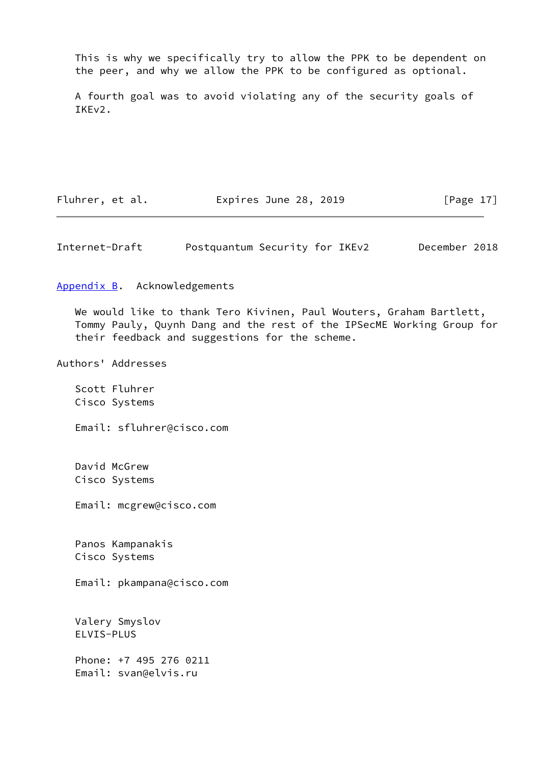This is why we specifically try to allow the PPK to be dependent on the peer, and why we allow the PPK to be configured as optional.

 A fourth goal was to avoid violating any of the security goals of IKEv2.

Fluhrer, et al. **Expires June 28, 2019** [Page 17]

<span id="page-19-1"></span>Internet-Draft Postquantum Security for IKEv2 December 2018

<span id="page-19-0"></span>[Appendix B.](#page-19-0) Acknowledgements

 We would like to thank Tero Kivinen, Paul Wouters, Graham Bartlett, Tommy Pauly, Quynh Dang and the rest of the IPSecME Working Group for their feedback and suggestions for the scheme.

Authors' Addresses

 Scott Fluhrer Cisco Systems

Email: sfluhrer@cisco.com

 David McGrew Cisco Systems

Email: mcgrew@cisco.com

 Panos Kampanakis Cisco Systems

Email: pkampana@cisco.com

 Valery Smyslov ELVIS-PLUS

 Phone: +7 495 276 0211 Email: svan@elvis.ru